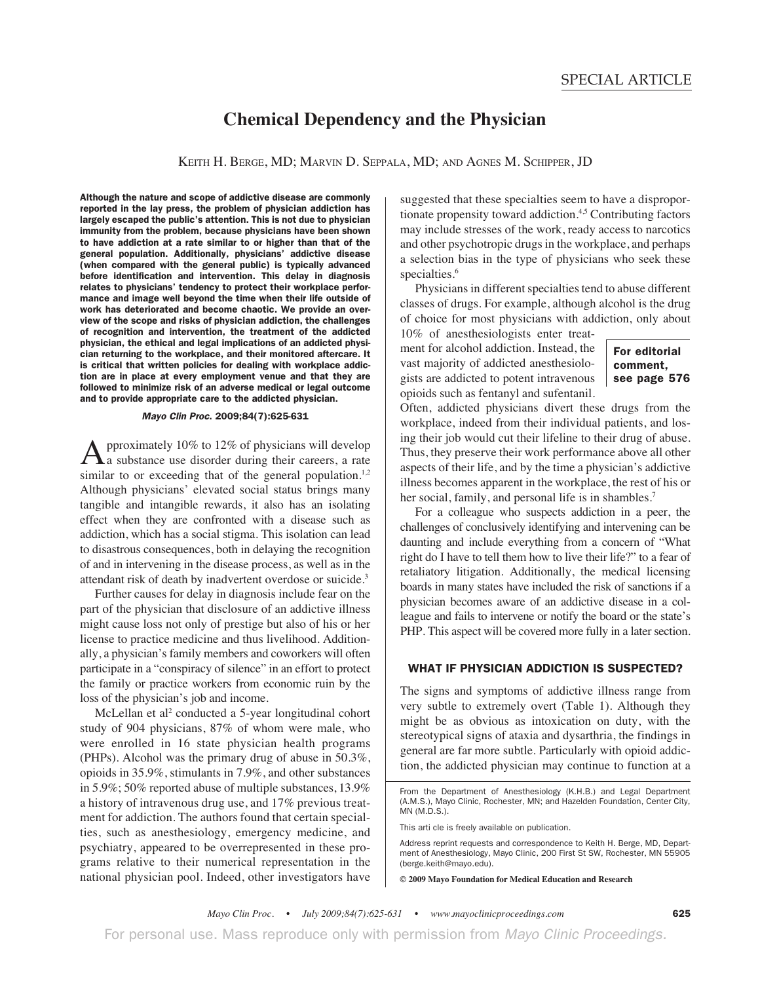# **Chemical Dependency and the Physician**

KEITH H. BERGE, MD; MARVIN D. SEPPALA, MD; AND AGNES M. SCHIPPER, JD

Although the nature and scope of addictive disease are commonly reported in the lay press, the problem of physician addiction has largely escaped the public's attention. This is not due to physician immunity from the problem, because physicians have been shown to have addiction at a rate similar to or higher than that of the general population. Additionally, physicians' addictive disease (when compared with the general public) is typically advanced before identification and intervention. This delay in diagnosis relates to physicians' tendency to protect their workplace performance and image well beyond the time when their life outside of work has deteriorated and become chaotic. We provide an overview of the scope and risks of physician addiction, the challenges of recognition and intervention, the treatment of the addicted physician, the ethical and legal implications of an addicted physician returning to the workplace, and their monitored aftercare. It is critical that written policies for dealing with workplace addiction are in place at every employment venue and that they are followed to minimize risk of an adverse medical or legal outcome and to provide appropriate care to the addicted physician.

#### Mayo Clin Proc. 2009;84(7):625-631

A pproximately 10% to 12% of physicians will develop<br>a substance use disorder during their careers, a rate similar to or exceeding that of the general population.<sup>1,2</sup> Although physicians' elevated social status brings many tangible and intangible rewards, it also has an isolating effect when they are confronted with a disease such as addiction, which has a social stigma. This isolation can lead to disastrous consequences, both in delaying the recognition of and in intervening in the disease process, as well as in the attendant risk of death by inadvertent overdose or suicide.3

Further causes for delay in diagnosis include fear on the part of the physician that disclosure of an addictive illness might cause loss not only of prestige but also of his or her license to practice medicine and thus livelihood. Additionally, a physician's family members and coworkers will often participate in a "conspiracy of silence" in an effort to protect the family or practice workers from economic ruin by the loss of the physician's job and income.

McLellan et al<sup>2</sup> conducted a 5-year longitudinal cohort study of 904 physicians, 87% of whom were male, who were enrolled in 16 state physician health programs (PHPs). Alcohol was the primary drug of abuse in 50.3%, opioids in 35.9%, stimulants in 7.9%, and other substances in 5.9%; 50% reported abuse of multiple substances, 13.9% a history of intravenous drug use, and 17% previous treatment for addiction. The authors found that certain specialties, such as anesthesiology, emergency medicine, and psychiatry, appeared to be overrepresented in these programs relative to their numerical representation in the national physician pool. Indeed, other investigators have

suggested that these specialties seem to have a disproportionate propensity toward addiction.<sup>4,5</sup> Contributing factors may include stresses of the work, ready access to narcotics and other psychotropic drugs in the workplace, and perhaps a selection bias in the type of physicians who seek these specialties.<sup>6</sup>

Physicians in different specialties tend to abuse different classes of drugs. For example, although alcohol is the drug of choice for most physicians with addiction, only about

10% of anesthesiologists enter treatment for alcohol addiction. Instead, the vast majority of addicted anesthesiologists are addicted to potent intravenous opioids such as fentanyl and sufentanil.

## For editorial comment, see page 576

Often, addicted physicians divert these drugs from the workplace, indeed from their individual patients, and losing their job would cut their lifeline to their drug of abuse. Thus, they preserve their work performance above all other aspects of their life, and by the time a physician's addictive illness becomes apparent in the workplace, the rest of his or her social, family, and personal life is in shambles.<sup>7</sup>

For a colleague who suspects addiction in a peer, the challenges of conclusively identifying and intervening can be daunting and include everything from a concern of "What right do I have to tell them how to live their life?" to a fear of retaliatory litigation. Additionally, the medical licensing boards in many states have included the risk of sanctions if a physician becomes aware of an addictive disease in a colleague and fails to intervene or notify the board or the state's PHP. This aspect will be covered more fully in a later section.

## WHAT IF PHYSICIAN ADDICTION IS SUSPECTED?

The signs and symptoms of addictive illness range from very subtle to extremely overt (Table 1). Although they might be as obvious as intoxication on duty, with the stereotypical signs of ataxia and dysarthria, the findings in general are far more subtle. Particularly with opioid addiction, the addicted physician may continue to function at a

This arti cle is freely available on publication.

Address reprint requests and correspondence to Keith H. Berge, MD, Department of Anesthesiology, Mayo Clinic, 200 First St SW, Rochester, MN 55905 (berge.keith@mayo.edu).

**© 2009 Mayo Foundation for Medical Education and Research**

From the Department of Anesthesiology (K.H.B.) and Legal Department (A.M.S.), Mayo Clinic, Rochester, MN; and Hazelden Foundation, Center City, MN (M.D.S.).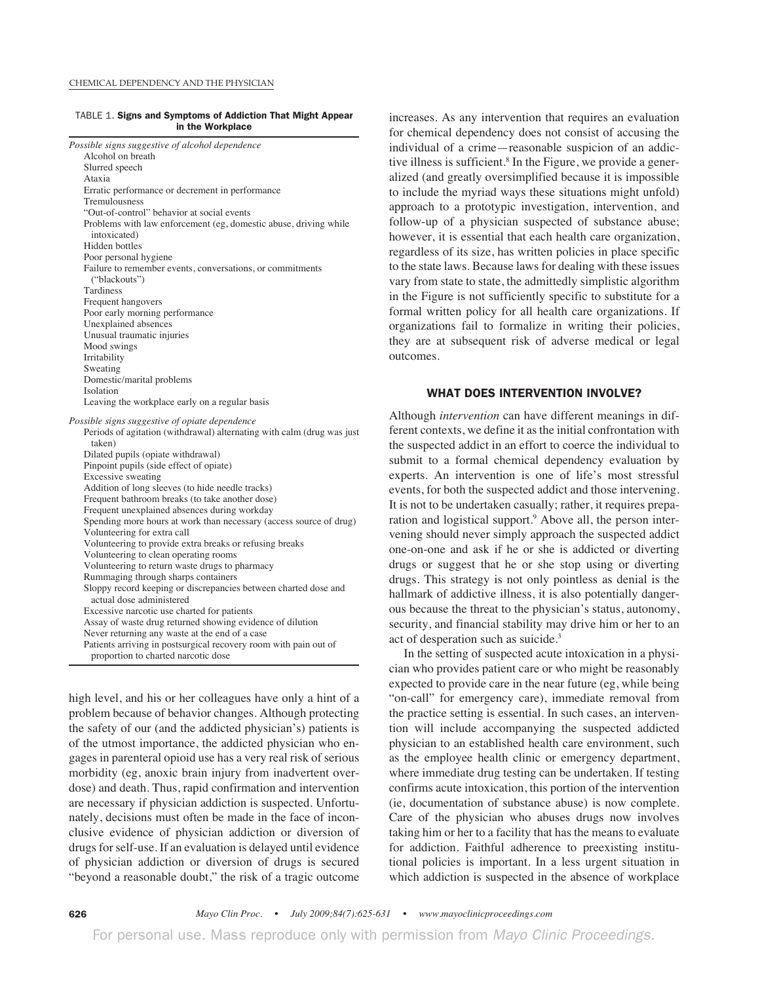|  | TABLE 1. Signs and Symptoms of Addiction That Might Appear |                  |  |
|--|------------------------------------------------------------|------------------|--|
|  |                                                            | in the Workplace |  |

| Possible signs suggestive of alcohol dependence                                             |
|---------------------------------------------------------------------------------------------|
| Alcohol on breath                                                                           |
| Slurred speech<br>Ataxia                                                                    |
|                                                                                             |
| Erratic performance or decrement in performance                                             |
| Tremulousness                                                                               |
| "Out-of-control" behavior at social events                                                  |
| Problems with law enforcement (eg, domestic abuse, driving while                            |
| intoxicated)                                                                                |
| Hidden bottles                                                                              |
| Poor personal hygiene                                                                       |
| Failure to remember events, conversations, or commitments<br>("blackouts")                  |
| Tardiness                                                                                   |
| Frequent hangovers                                                                          |
| Poor early morning performance                                                              |
| Unexplained absences                                                                        |
| Unusual traumatic injuries                                                                  |
| Mood swings                                                                                 |
| Irritability                                                                                |
| Sweating                                                                                    |
| Domestic/marital problems                                                                   |
| Isolation                                                                                   |
| Leaving the workplace early on a regular basis                                              |
| Possible signs suggestive of opiate dependence                                              |
| Periods of agitation (withdrawal) alternating with calm (drug was just<br>taken)            |
| Dilated pupils (opiate withdrawal)                                                          |
| Pinpoint pupils (side effect of opiate)                                                     |
| Excessive sweating                                                                          |
| Addition of long sleeves (to hide needle tracks)                                            |
| Frequent bathroom breaks (to take another dose)                                             |
| Frequent unexplained absences during workday                                                |
| Spending more hours at work than necessary (access source of drug)                          |
| Volunteering for extra call                                                                 |
| Volunteering to provide extra breaks or refusing breaks                                     |
| Volunteering to clean operating rooms                                                       |
| Volunteering to return waste drugs to pharmacy                                              |
| Rummaging through sharps containers                                                         |
| Sloppy record keeping or discrepancies between charted dose and<br>actual dose administered |
| Excessive narcotic use charted for patients                                                 |
| Assay of waste drug returned showing evidence of dilution                                   |
| Never returning any waste at the end of a case                                              |
| Patients arriving in postsurgical recovery room with pain out of                            |
|                                                                                             |

high level, and his or her colleagues have only a hint of a problem because of behavior changes. Although protecting the safety of our (and the addicted physician's) patients is of the utmost importance, the addicted physician who engages in parenteral opioid use has a very real risk of serious morbidity (eg, anoxic brain injury from inadvertent overdose) and death. Thus, rapid confirmation and intervention are necessary if physician addiction is suspected. Unfortunately, decisions must often be made in the face of inconclusive evidence of physician addiction or diversion of drugs for self-use. If an evaluation is delayed until evidence of physician addiction or diversion of drugs is secured "beyond a reasonable doubt," the risk of a tragic outcome

proportion to charted narcotic dose

increases. As any intervention that requires an evaluation for chemical dependency does not consist of accusing the individual of a crime—reasonable suspicion of an addictive illness is sufficient.<sup>8</sup> In the Figure, we provide a generalized (and greatly oversimplified because it is impossible to include the myriad ways these situations might unfold) approach to a prototypic investigation, intervention, and follow-up of a physician suspected of substance abuse; however, it is essential that each health care organization, regardless of its size, has written policies in place specific to the state laws. Because laws for dealing with these issues vary from state to state, the admittedly simplistic algorithm in the Figure is not sufficiently specific to substitute for a formal written policy for all health care organizations. If organizations fail to formalize in writing their policies, they are at subsequent risk of adverse medical or legal outcomes.

#### WHAT DOES INTERVENTION INVOLVE?

Although *intervention* can have different meanings in different contexts, we define it as the initial confrontation with the suspected addict in an effort to coerce the individual to submit to a formal chemical dependency evaluation by experts. An intervention is one of life's most stressful events, for both the suspected addict and those intervening. It is not to be undertaken casually; rather, it requires preparation and logistical support.<sup>9</sup> Above all, the person intervening should never simply approach the suspected addict one-on-one and ask if he or she is addicted or diverting drugs or suggest that he or she stop using or diverting drugs. This strategy is not only pointless as denial is the hallmark of addictive illness, it is also potentially dangerous because the threat to the physician's status, autonomy, security, and financial stability may drive him or her to an act of desperation such as suicide.<sup>3</sup>

In the setting of suspected acute intoxication in a physician who provides patient care or who might be reasonably expected to provide care in the near future (eg, while being "on-call" for emergency care), immediate removal from the practice setting is essential. In such cases, an intervention will include accompanying the suspected addicted physician to an established health care environment, such as the employee health clinic or emergency department, where immediate drug testing can be undertaken. If testing confirms acute intoxication, this portion of the intervention (ie, documentation of substance abuse) is now complete. Care of the physician who abuses drugs now involves taking him or her to a facility that has the means to evaluate for addiction. Faithful adherence to preexisting institutional policies is important. In a less urgent situation in which addiction is suspected in the absence of workplace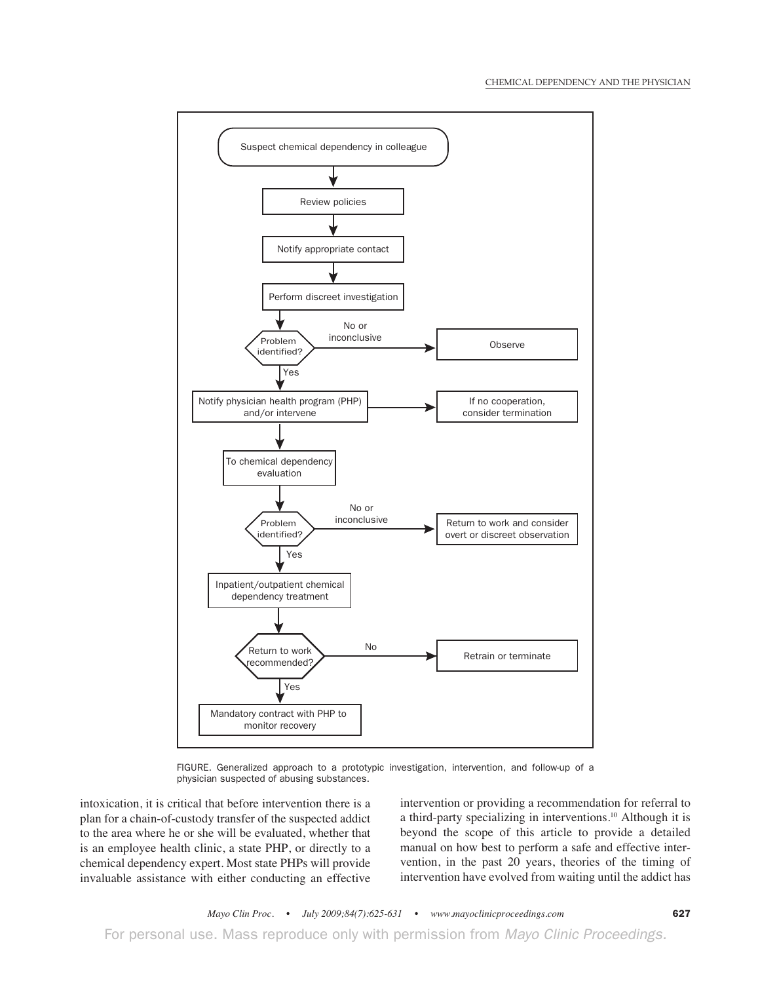

FIGURE. Generalized approach to a prototypic investigation, intervention, and follow-up of a physician suspected of abusing substances.

intoxication, it is critical that before intervention there is a plan for a chain-of-custody transfer of the suspected addict to the area where he or she will be evaluated, whether that is an employee health clinic, a state PHP, or directly to a chemical dependency expert. Most state PHPs will provide invaluable assistance with either conducting an effective

intervention or providing a recommendation for referral to a third-party specializing in interventions.10 Although it is beyond the scope of this article to provide a detailed manual on how best to perform a safe and effective intervention, in the past 20 years, theories of the timing of intervention have evolved from waiting until the addict has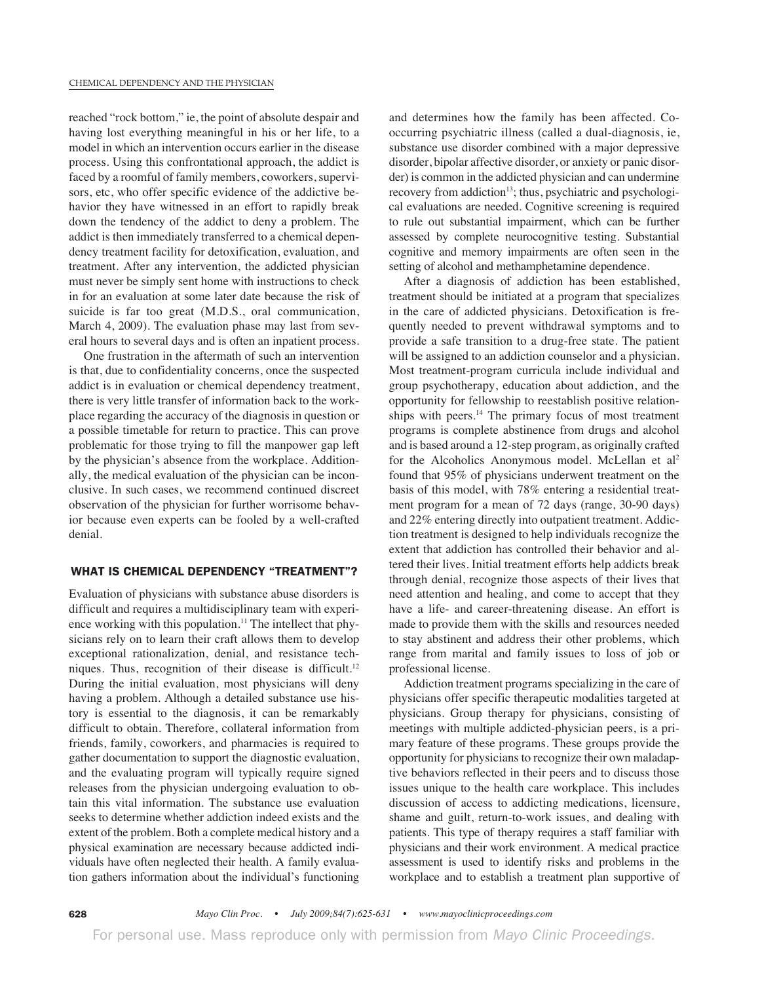reached "rock bottom," ie, the point of absolute despair and having lost everything meaningful in his or her life, to a model in which an intervention occurs earlier in the disease process. Using this confrontational approach, the addict is faced by a roomful of family members, coworkers, supervisors, etc, who offer specific evidence of the addictive behavior they have witnessed in an effort to rapidly break down the tendency of the addict to deny a problem. The addict is then immediately transferred to a chemical dependency treatment facility for detoxification, evaluation, and treatment. After any intervention, the addicted physician must never be simply sent home with instructions to check in for an evaluation at some later date because the risk of suicide is far too great (M.D.S., oral communication, March 4, 2009). The evaluation phase may last from several hours to several days and is often an inpatient process.

One frustration in the aftermath of such an intervention is that, due to confidentiality concerns, once the suspected addict is in evaluation or chemical dependency treatment, there is very little transfer of information back to the workplace regarding the accuracy of the diagnosis in question or a possible timetable for return to practice. This can prove problematic for those trying to fill the manpower gap left by the physician's absence from the workplace. Additionally, the medical evaluation of the physician can be inconclusive. In such cases, we recommend continued discreet observation of the physician for further worrisome behavior because even experts can be fooled by a well-crafted denial.

### WHAT IS CHEMICAL DEPENDENCY "TREATMENT"?

Evaluation of physicians with substance abuse disorders is difficult and requires a multidisciplinary team with experience working with this population.<sup>11</sup> The intellect that physicians rely on to learn their craft allows them to develop exceptional rationalization, denial, and resistance techniques. Thus, recognition of their disease is difficult.<sup>12</sup> During the initial evaluation, most physicians will deny having a problem. Although a detailed substance use history is essential to the diagnosis, it can be remarkably difficult to obtain. Therefore, collateral information from friends, family, coworkers, and pharmacies is required to gather documentation to support the diagnostic evaluation, and the evaluating program will typically require signed releases from the physician undergoing evaluation to obtain this vital information. The substance use evaluation seeks to determine whether addiction indeed exists and the extent of the problem. Both a complete medical history and a physical examination are necessary because addicted individuals have often neglected their health. A family evaluation gathers information about the individual's functioning

and determines how the family has been affected. Cooccurring psychiatric illness (called a dual-diagnosis, ie, substance use disorder combined with a major depressive disorder, bipolar affective disorder, or anxiety or panic disorder) is common in the addicted physician and can undermine recovery from addiction<sup>13</sup>; thus, psychiatric and psychological evaluations are needed. Cognitive screening is required to rule out substantial impairment, which can be further assessed by complete neurocognitive testing. Substantial cognitive and memory impairments are often seen in the setting of alcohol and methamphetamine dependence.

After a diagnosis of addiction has been established, treatment should be initiated at a program that specializes in the care of addicted physicians. Detoxification is frequently needed to prevent withdrawal symptoms and to provide a safe transition to a drug-free state. The patient will be assigned to an addiction counselor and a physician. Most treatment-program curricula include individual and group psychotherapy, education about addiction, and the opportunity for fellowship to reestablish positive relationships with peers.<sup>14</sup> The primary focus of most treatment programs is complete abstinence from drugs and alcohol and is based around a 12-step program, as originally crafted for the Alcoholics Anonymous model. McLellan et al<sup>2</sup> found that 95% of physicians underwent treatment on the basis of this model, with 78% entering a residential treatment program for a mean of 72 days (range, 30-90 days) and 22% entering directly into outpatient treatment. Addiction treatment is designed to help individuals recognize the extent that addiction has controlled their behavior and altered their lives. Initial treatment efforts help addicts break through denial, recognize those aspects of their lives that need attention and healing, and come to accept that they have a life- and career-threatening disease. An effort is made to provide them with the skills and resources needed to stay abstinent and address their other problems, which range from marital and family issues to loss of job or professional license.

Addiction treatment programs specializing in the care of physicians offer specific therapeutic modalities targeted at physicians. Group therapy for physicians, consisting of meetings with multiple addicted-physician peers, is a primary feature of these programs. These groups provide the opportunity for physicians to recognize their own maladaptive behaviors reflected in their peers and to discuss those issues unique to the health care workplace. This includes discussion of access to addicting medications, licensure, shame and guilt, return-to-work issues, and dealing with patients. This type of therapy requires a staff familiar with physicians and their work environment. A medical practice assessment is used to identify risks and problems in the workplace and to establish a treatment plan supportive of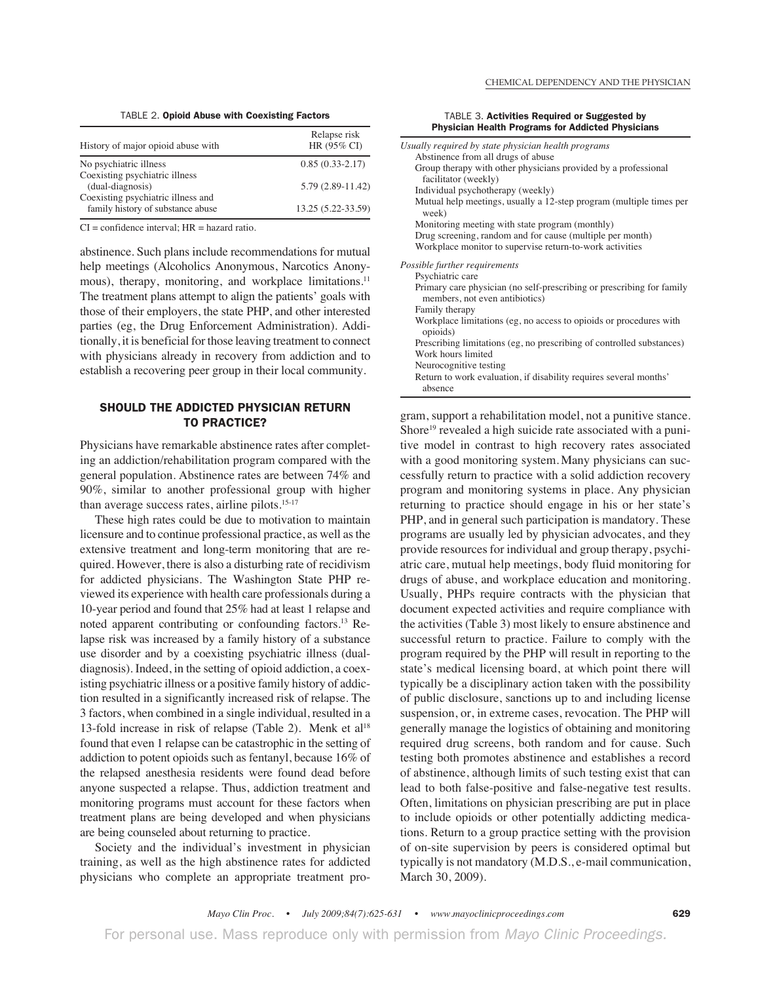TABLE 2. Opioid Abuse with Coexisting Factors

| History of major opioid abuse with                                      | Relapse risk<br>HR (95% CI) |  |
|-------------------------------------------------------------------------|-----------------------------|--|
| No psychiatric illness                                                  | $0.85(0.33-2.17)$           |  |
| Coexisting psychiatric illness<br>(dual-diagnosis)                      | 5.79 (2.89-11.42)           |  |
| Coexisting psychiatric illness and<br>family history of substance abuse | 13.25 (5.22-33.59)          |  |

 $CI =$  confidence interval;  $HR =$  hazard ratio.

abstinence. Such plans include recommendations for mutual help meetings (Alcoholics Anonymous, Narcotics Anonymous), therapy, monitoring, and workplace limitations.<sup>11</sup> The treatment plans attempt to align the patients' goals with those of their employers, the state PHP, and other interested parties (eg, the Drug Enforcement Administration). Additionally, it is beneficial for those leaving treatment to connect with physicians already in recovery from addiction and to establish a recovering peer group in their local community.

# SHOULD THE ADDICTED PHYSICIAN RETURN TO PRACTICE?

Physicians have remarkable abstinence rates after completing an addiction/rehabilitation program compared with the general population. Abstinence rates are between 74% and 90%, similar to another professional group with higher than average success rates, airline pilots.<sup>15-17</sup>

These high rates could be due to motivation to maintain licensure and to continue professional practice, as well as the extensive treatment and long-term monitoring that are required. However, there is also a disturbing rate of recidivism for addicted physicians. The Washington State PHP reviewed its experience with health care professionals during a 10-year period and found that 25% had at least 1 relapse and noted apparent contributing or confounding factors.13 Relapse risk was increased by a family history of a substance use disorder and by a coexisting psychiatric illness (dualdiagnosis). Indeed, in the setting of opioid addiction, a coexisting psychiatric illness or a positive family history of addiction resulted in a significantly increased risk of relapse. The 3 factors, when combined in a single individual, resulted in a 13-fold increase in risk of relapse (Table 2). Menk et  $al^{18}$ found that even 1 relapse can be catastrophic in the setting of addiction to potent opioids such as fentanyl, because 16% of the relapsed anesthesia residents were found dead before anyone suspected a relapse. Thus, addiction treatment and monitoring programs must account for these factors when treatment plans are being developed and when physicians are being counseled about returning to practice.

Society and the individual's investment in physician training, as well as the high abstinence rates for addicted physicians who complete an appropriate treatment pro-

| Usually required by state physician health programs<br>Abstinence from all drugs of abuse               |
|---------------------------------------------------------------------------------------------------------|
| Group therapy with other physicians provided by a professional<br>facilitator (weekly)                  |
| Individual psychotherapy (weekly)                                                                       |
| Mutual help meetings, usually a 12-step program (multiple times per<br>week)                            |
| Monitoring meeting with state program (monthly)                                                         |
| Drug screening, random and for cause (multiple per month)                                               |
| Workplace monitor to supervise return-to-work activities                                                |
| Possible further requirements<br>Psychiatric care                                                       |
| Primary care physician (no self-prescribing or prescribing for family<br>members, not even antibiotics) |
| Family therapy                                                                                          |
| Workplace limitations (eg, no access to opioids or procedures with<br>opioids)                          |
| Prescribing limitations (eg, no prescribing of controlled substances)                                   |
| Work hours limited                                                                                      |
| Neurocognitive testing                                                                                  |
| Return to work evaluation, if disability requires several months'<br>absence                            |

TABLE 3. Activities Required or Suggested by Physician Health Programs for Addicted Physicians

gram, support a rehabilitation model, not a punitive stance. Shore<sup>19</sup> revealed a high suicide rate associated with a punitive model in contrast to high recovery rates associated with a good monitoring system. Many physicians can successfully return to practice with a solid addiction recovery program and monitoring systems in place. Any physician returning to practice should engage in his or her state's PHP, and in general such participation is mandatory. These programs are usually led by physician advocates, and they provide resources for individual and group therapy, psychiatric care, mutual help meetings, body fluid monitoring for drugs of abuse, and workplace education and monitoring. Usually, PHPs require contracts with the physician that document expected activities and require compliance with the activities (Table 3) most likely to ensure abstinence and successful return to practice. Failure to comply with the program required by the PHP will result in reporting to the state's medical licensing board, at which point there will typically be a disciplinary action taken with the possibility of public disclosure, sanctions up to and including license suspension, or, in extreme cases, revocation. The PHP will generally manage the logistics of obtaining and monitoring required drug screens, both random and for cause. Such testing both promotes abstinence and establishes a record of abstinence, although limits of such testing exist that can lead to both false-positive and false-negative test results. Often, limitations on physician prescribing are put in place to include opioids or other potentially addicting medications. Return to a group practice setting with the provision of on-site supervision by peers is considered optimal but typically is not mandatory (M.D.S., e-mail communication, March 30, 2009).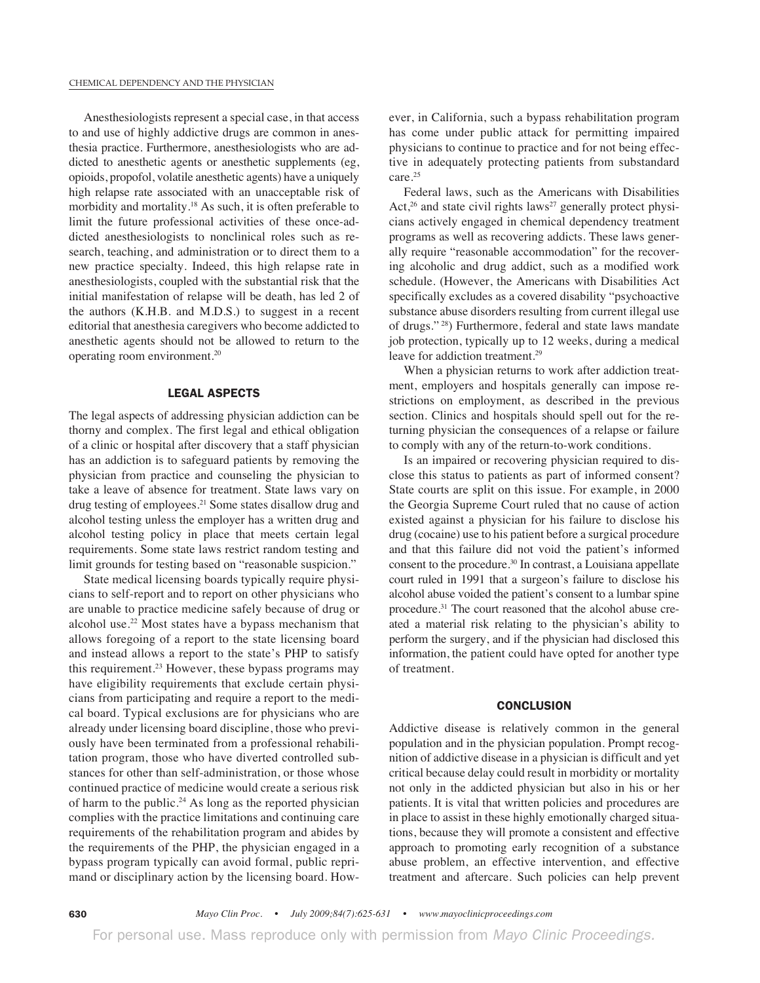Anesthesiologists represent a special case, in that access to and use of highly addictive drugs are common in anesthesia practice. Furthermore, anesthesiologists who are addicted to anesthetic agents or anesthetic supplements (eg, opioids, propofol, volatile anesthetic agents) have a uniquely high relapse rate associated with an unacceptable risk of morbidity and mortality.<sup>18</sup> As such, it is often preferable to limit the future professional activities of these once-addicted anesthesiologists to nonclinical roles such as research, teaching, and administration or to direct them to a new practice specialty. Indeed, this high relapse rate in anesthesiologists, coupled with the substantial risk that the initial manifestation of relapse will be death, has led 2 of the authors (K.H.B. and M.D.S.) to suggest in a recent editorial that anesthesia caregivers who become addicted to anesthetic agents should not be allowed to return to the operating room environment.20

#### LEGAL ASPECTS

The legal aspects of addressing physician addiction can be thorny and complex. The first legal and ethical obligation of a clinic or hospital after discovery that a staff physician has an addiction is to safeguard patients by removing the physician from practice and counseling the physician to take a leave of absence for treatment. State laws vary on drug testing of employees.<sup>21</sup> Some states disallow drug and alcohol testing unless the employer has a written drug and alcohol testing policy in place that meets certain legal requirements. Some state laws restrict random testing and limit grounds for testing based on "reasonable suspicion."

State medical licensing boards typically require physicians to self-report and to report on other physicians who are unable to practice medicine safely because of drug or alcohol use.22 Most states have a bypass mechanism that allows foregoing of a report to the state licensing board and instead allows a report to the state's PHP to satisfy this requirement.<sup>23</sup> However, these bypass programs may have eligibility requirements that exclude certain physicians from participating and require a report to the medical board. Typical exclusions are for physicians who are already under licensing board discipline, those who previously have been terminated from a professional rehabilitation program, those who have diverted controlled substances for other than self-administration, or those whose continued practice of medicine would create a serious risk of harm to the public.24 As long as the reported physician complies with the practice limitations and continuing care requirements of the rehabilitation program and abides by the requirements of the PHP, the physician engaged in a bypass program typically can avoid formal, public reprimand or disciplinary action by the licensing board. However, in California, such a bypass rehabilitation program has come under public attack for permitting impaired physicians to continue to practice and for not being effective in adequately protecting patients from substandard care.25

Federal laws, such as the Americans with Disabilities Act, $26$  and state civil rights laws<sup>27</sup> generally protect physicians actively engaged in chemical dependency treatment programs as well as recovering addicts. These laws generally require "reasonable accommodation" for the recovering alcoholic and drug addict, such as a modified work schedule. (However, the Americans with Disabilities Act specifically excludes as a covered disability "psychoactive substance abuse disorders resulting from current illegal use of drugs." 28) Furthermore, federal and state laws mandate job protection, typically up to 12 weeks, during a medical leave for addiction treatment.<sup>29</sup>

When a physician returns to work after addiction treatment, employers and hospitals generally can impose restrictions on employment, as described in the previous section. Clinics and hospitals should spell out for the returning physician the consequences of a relapse or failure to comply with any of the return-to-work conditions.

Is an impaired or recovering physician required to disclose this status to patients as part of informed consent? State courts are split on this issue. For example, in 2000 the Georgia Supreme Court ruled that no cause of action existed against a physician for his failure to disclose his drug (cocaine) use to his patient before a surgical procedure and that this failure did not void the patient's informed consent to the procedure.<sup>30</sup> In contrast, a Louisiana appellate court ruled in 1991 that a surgeon's failure to disclose his alcohol abuse voided the patient's consent to a lumbar spine procedure.31 The court reasoned that the alcohol abuse created a material risk relating to the physician's ability to perform the surgery, and if the physician had disclosed this information, the patient could have opted for another type of treatment.

### **CONCLUSION**

Addictive disease is relatively common in the general population and in the physician population. Prompt recognition of addictive disease in a physician is difficult and yet critical because delay could result in morbidity or mortality not only in the addicted physician but also in his or her patients. It is vital that written policies and procedures are in place to assist in these highly emotionally charged situations, because they will promote a consistent and effective approach to promoting early recognition of a substance abuse problem, an effective intervention, and effective treatment and aftercare. Such policies can help prevent